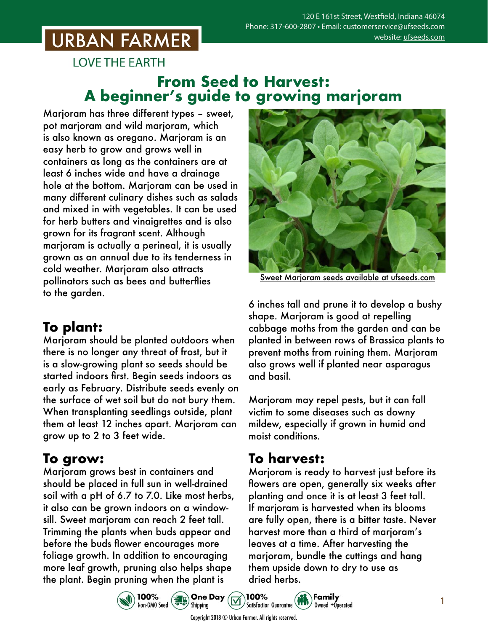# **URBAN FARMER**

**LOVE THE EARTH** 

#### **From Seed to Harvest: A beginner's guide to growing marjoram**

Marjoram has three different types – sweet, pot marjoram and wild marjoram, which is also known as oregano. Marjoram is an easy herb to grow and grows well in containers as long as the containers are at least 6 inches wide and have a drainage hole at the bottom. Marjoram can be used in many different culinary dishes such as salads and mixed in with vegetables. It can be used for herb butters and vinaigrettes and is also grown for its fragrant scent. Although marjoram is actually a perineal, it is usually grown as an annual due to its tenderness in cold weather. Marjoram also attracts pollinators such as bees and butterflies to the garden.

### **To plant:**

Marjoram should be planted outdoors when there is no longer any threat of frost, but it is a slow-growing plant so seeds should be started indoors first. Begin seeds indoors as early as February. Distribute seeds evenly on the surface of wet soil but do not bury them. When transplanting seedlings outside, plant them at least 12 inches apart. Marjoram can grow up to 2 to 3 feet wide.

#### **To grow:**

Marjoram grows best in containers and should be placed in full sun in well-drained soil with a pH of 6.7 to 7.0. Like most herbs, it also can be grown indoors on a windowsill. Sweet marjoram can reach 2 feet tall. Trimming the plants when buds appear and before the buds flower encourages more foliage growth. In addition to encouraging more leaf growth, pruning also helps shape the plant. Begin pruning when the plant is



Sweet Marjoram seeds [available at ufseeds.com](https://www.ufseeds.com/product-category/herbs/marjoram/)

6 inches tall and prune it to develop a bushy shape. Marjoram is good at repelling cabbage moths from the garden and can be planted in between rows of Brassica plants to prevent moths from ruining them. Marjoram also grows well if planted near asparagus and basil.

Marjoram may repel pests, but it can fall victim to some diseases such as downy mildew, especially if grown in humid and moist conditions.

### **To harvest:**

Marjoram is ready to harvest just before its flowers are open, generally six weeks after planting and once it is at least 3 feet tall. If marjoram is harvested when its blooms are fully open, there is a bitter taste. Never harvest more than a third of marjoram's leaves at a time. After harvesting the marjoram, bundle the cuttings and hang them upside down to dry to use as dried herbs.